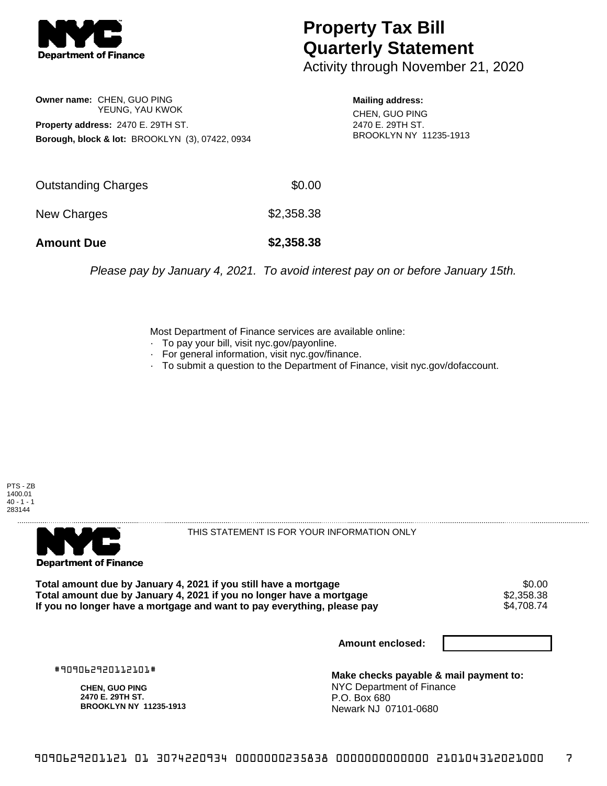

## **Property Tax Bill Quarterly Statement**

Activity through November 21, 2020

**Owner name:** CHEN, GUO PING YEUNG, YAU KWOK **Property address:** 2470 E. 29TH ST. **Borough, block & lot:** BROOKLYN (3), 07422, 0934

**Mailing address:** CHEN, GUO PING 2470 E. 29TH ST. BROOKLYN NY 11235-1913

| <b>Amount Due</b>   | \$2,358.38 |
|---------------------|------------|
| New Charges         | \$2,358.38 |
| Outstanding Charges | \$0.00     |

Please pay by January 4, 2021. To avoid interest pay on or before January 15th.

Most Department of Finance services are available online:

- · To pay your bill, visit nyc.gov/payonline.
- For general information, visit nyc.gov/finance.
- · To submit a question to the Department of Finance, visit nyc.gov/dofaccount.





THIS STATEMENT IS FOR YOUR INFORMATION ONLY

Total amount due by January 4, 2021 if you still have a mortgage  $$0.00$ <br>Total amount due by January 4, 2021 if you no longer have a mortgage  $$2,358.38$ **Total amount due by January 4, 2021 if you no longer have a mortgage**  $$2,358.38$$ **<br>If you no longer have a mortgage and want to pay everything, please pay**  $$4,708.74$$ If you no longer have a mortgage and want to pay everything, please pay

**Amount enclosed:**

#909062920112101#

**CHEN, GUO PING 2470 E. 29TH ST. BROOKLYN NY 11235-1913**

**Make checks payable & mail payment to:** NYC Department of Finance P.O. Box 680 Newark NJ 07101-0680